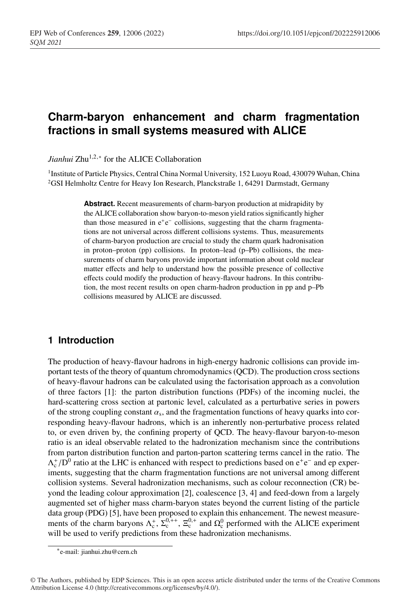# **Charm-baryon enhancement and charm fragmentation fractions in small systems measured with ALICE**

*Jianhui* Zhu<sup>1,2,∗</sup> for the ALICE Collaboration

<sup>1</sup> Institute of Particle Physics, Central China Normal University, 152 Luoyu Road, 430079 Wuhan, China <sup>2</sup>GSI Helmholtz Centre for Heavy Ion Research, Planckstraße 1, 64291 Darmstadt, Germany

> **Abstract.** Recent measurements of charm-baryon production at midrapidity by the ALICE collaboration show baryon-to-meson yield ratios significantly higher than those measured in  $e^+e^-$  collisions, suggesting that the charm fragmentations are not universal across different collisions systems. Thus, measurements of charm-baryon production are crucial to study the charm quark hadronisation in proton–proton (pp) collisions. In proton–lead (p–Pb) collisions, the measurements of charm baryons provide important information about cold nuclear matter effects and help to understand how the possible presence of collective effects could modify the production of heavy-flavour hadrons. In this contribution, the most recent results on open charm-hadron production in pp and p–Pb collisions measured by ALICE are discussed.

# **1 Introduction**

The production of heavy-flavour hadrons in high-energy hadronic collisions can provide important tests of the theory of quantum chromodynamics (QCD). The production cross sections of heavy-flavour hadrons can be calculated using the factorisation approach as a convolution of three factors [1]: the parton distribution functions (PDFs) of the incoming nuclei, the hard-scattering cross section at partonic level, calculated as a perturbative series in powers of the strong coupling constant  $\alpha_s$ , and the fragmentation functions of heavy quarks into corresponding heavy-flavour hadrons, which is an inherently non-perturbative process related to, or even driven by, the confining property of QCD. The heavy-flavour baryon-to-meson ratio is an ideal observable related to the hadronization mechanism since the contributions from parton distribution function and parton-parton scattering terms cancel in the ratio. The  $\Lambda_c^{\dagger}/D^0$  ratio at the LHC is enhanced with respect to predictions based on  $e^+e^-$  and ep experiments, suggesting that the charm fragmentation functions are not universal among different collision systems. Several hadronization mechanisms, such as colour reconnection (CR) beyond the leading colour approximation [2], coalescence [3, 4] and feed-down from a largely augmented set of higher mass charm-baryon states beyond the current listing of the particle data group (PDG) [5], have been proposed to explain this enhancement. The newest measurements of the charm baryons  $\Lambda_c^+$ ,  $\Sigma_c^{0,+}$ ,  $\Sigma_c^{0,+}$  and  $\Omega_c^0$  performed with the ALICE experiment will be used to verify predictions from these hadronization mechanisms.

<sup>∗</sup>e-mail: jianhui.zhu@cern.ch

<sup>©</sup> The Authors, published by EDP Sciences. This is an open access article distributed under the terms of the Creative Commons Attribution License 4.0 (http://creativecommons.org/licenses/by/4.0/).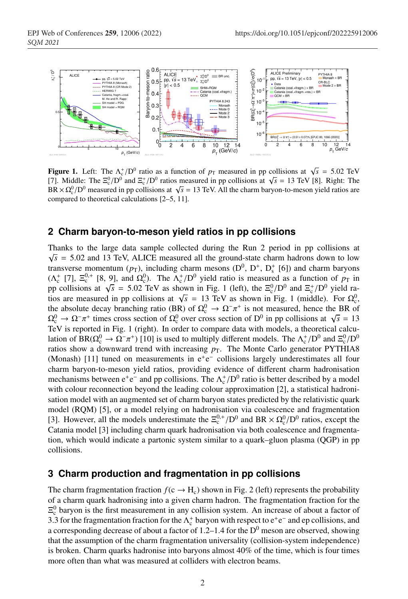

**Figure 1.** Left: The  $\Lambda_c^+ / D^0$  ratio as a function of  $p_T$  measured in pp collisions at  $\sqrt{s} = 5.02$  TeV [7]. Middle: The  $\Xi_c^0/D^0$  and  $\Xi_c^+/D^0$  ratios measured in pp collisions at  $\sqrt{s} = 13$  TeV [8]. Right: The  $BR \times \Omega_c^0/D^0$  measured in pp collisions at  $\sqrt{s} = 13$  TeV. All the charm baryon-to-meson yield ratios are compared to theoretical calculations [2–5, 11].

### **2 Charm baryon-to-meson yield ratios in pp collisions**

Thanks to the large data sample collected during the Run 2 period in pp collisions at  $\sqrt{s}$  = 5.02 and 13 TeV, ALICE measured all the ground-state charm hadrons down to low transverse momentum ( $p_T$ ), including charm mesons ( $D^0$ ,  $D^+$ ,  $D_s^+$  [6]) and charm baryons ( $\Lambda_c^+$  [7],  $\Xi_c^{0,+}$  [8, 9], and  $\Omega_c^0$ ). The  $\Lambda_c^+/D^0$  yield ratio is measured as a function of  $p_T$  in pp collisions at  $\sqrt{s}$  = 5.02 TeV as shown in Fig. 1 (left), the  $\Xi_c^0/D^0$  and  $\Xi_c^+/D^0$  yield ratios are measured in pp collisions at  $\sqrt{s} = 13$  TeV as shown in Fig. 1 (middle). For  $\Omega_c^0$ , the absolute decay branching ratio (BR) of  $\Omega_c^0 \to \Omega^- \pi^+$  is not measured, hence the BR of  $\Omega_c^0 \to \Omega^- \pi^+$  times cross section of  $\Omega_c^0$  over cross section of D<sup>0</sup> in pp collisions at  $\sqrt{s} = 13$ TeV is reported in Fig. 1 (right). In order to compare data with models, a theoretical calculation of BR( $\Omega_c^0 \to \Omega^- \pi^+$ ) [10] is used to multiply different models. The  $\Lambda_c^+/D^0$  and  $\Xi_c^0/D^0$ ratios show a downward trend with increasing  $p<sub>T</sub>$ . The Monte Carlo generator PYTHIA8 (Monash) [11] tuned on measurements in e<sup>+</sup>e<sup>−</sup> collisions largely underestimates all four charm baryon-to-meson yield ratios, providing evidence of different charm hadronisation mechanisms between  $e^+e^-$  and pp collisions. The  $\Lambda_c^+/D^0$  ratio is better described by a model with colour reconnection beyond the leading colour approximation [2], a statistical hadronisation model with an augmented set of charm baryon states predicted by the relativistic quark model (RQM) [5], or a model relying on hadronisation via coalescence and fragmentation [3]. However, all the models underestimate the  $\Xi_c^{0,+}/D^0$  and BR  $\times \Omega_c^0/D^0$  ratios, except the Catania model [3] including charm quark hadronisation via both coalescence and fragmentation, which would indicate a partonic system similar to a quark–gluon plasma (QGP) in pp collisions.

## **3 Charm production and fragmentation in pp collisions**

The charm fragmentation fraction  $f(c \rightarrow H_c)$  shown in Fig. 2 (left) represents the probability of a charm quark hadronising into a given charm hadron. The fragmentation fraction for the  $\Xi_c^0$  baryon is the first measurement in any collision system. An increase of about a factor of 3.3 for the fragmentation fraction for the  $\Lambda_c^+$  baryon with respect to  $e^+e^-$  and ep collisions, and a corresponding decrease of about a factor of 1.2–1.4 for the  $D^0$  meson are observed, showing that the assumption of the charm fragmentation universality (collision-system independence) is broken. Charm quarks hadronise into baryons almost 40% of the time, which is four times more often than what was measured at colliders with electron beams.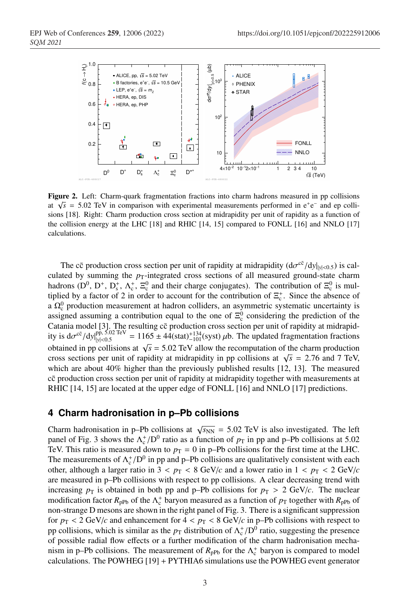

Figure 2. Left: Charm-quark fragmentation fractions into charm hadrons measured in pp collisions at  $\sqrt{s}$  = 5.02 TeV in comparison with experimental measurements performed in e<sup>+</sup>e<sup>−</sup> and ep collisions [18]. Right: Charm production cross section at midrapidity per unit of rapidity as a function of the collision energy at the LHC [18] and RHIC [14, 15] compared to FONLL [16] and NNLO [17] calculations.

The c $\bar{c}$  production cross section per unit of rapidity at midrapidity  $(d\sigma^{c\bar{c}}/dy|_{y|<0.5})$  is calculated by summing the  $p_T$ -integrated cross sections of all measured ground-state charm hadrons ( $D^0$ ,  $D^+$ ,  $D_s^+$ ,  $\Lambda_c^+$ ,  $\Xi_c^0$  and their charge conjugates). The contribution of  $\Xi_c^0$  is multiplied by a factor of 2 in order to account for the contribution of  $\Xi_c^+$ . Since the absence of a  $\Omega_c^0$  production measurement at hadron colliders, an asymmetric systematic uncertainty is assigned assuming a contribution equal to the one of  $\Xi_c^0$  considering the prediction of the Catania model [3]. The resulting cc production cross section per unit of rapidity at midrapidity is  $d\sigma^{c\bar{c}}/dy|_{y|<0.5}^{pp, 5.02 \text{ TeV}} = 1165 \pm 44(\text{stat})_{-101}^{+134}(\text{syst}) \mu b$ . The updated fragmentation fractions obtained in pp collisions at  $\sqrt{s}$  = 5.02 TeV allow the recomputation of the charm production cross sections per unit of rapidity at midrapidity in pp collisions at  $\sqrt{s}$  = 2.76 and 7 TeV, which are about 40% higher than the previously published results [12, 13]. The measured cc production cross section per unit of rapidity at midrapidity together with measurements at RHIC [14, 15] are located at the upper edge of FONLL [16] and NNLO [17] predictions.

# **4 Charm hadronisation in p–Pb collisions**

Charm hadronisation in p–Pb collisions at  $\sqrt{s_{NN}}$  = 5.02 TeV is also investigated. The left panel of Fig. 3 shows the  $\Lambda_c^+ / D^0$  ratio as a function of  $p_T$  in pp and p–Pb collisions at 5.02 TeV. This ratio is measured down to  $p_T = 0$  in p–Pb collisions for the first time at the LHC. The measurements of  $\Lambda_c^+/D^0$  in pp and p–Pb collisions are qualitatively consistent with each other, although a larger ratio in  $3 < p_T < 8$  GeV/*c* and a lower ratio in  $1 < p_T < 2$  GeV/*c* are measured in p–Pb collisions with respect to pp collisions. A clear decreasing trend with increasing  $p<sub>T</sub>$  is obtained in both pp and p–Pb collisions for  $p<sub>T</sub> > 2$  GeV/*c*. The nuclear modification factor  $R_{\text{pPb}}$  of the  $\Lambda_c^+$  baryon measured as a function of  $p_T$  together with  $R_{\text{pPb}}$  of non-strange D mesons are shown in the right panel of Fig. 3. There is a significant suppression for  $p_T < 2 \text{ GeV}/c$  and enhancement for  $4 < p_T < 8 \text{ GeV}/c$  in p-Pb collisions with respect to pp collisions, which is similar as the  $p<sub>T</sub>$  distribution of  $\Lambda_c^+/D^0$  ratio, suggesting the presence of possible radial flow effects or a further modification of the charm hadronisation mechanism in p–Pb collisions. The measurement of  $R_{\text{pPb}}$  for the  $\Lambda_c^+$  baryon is compared to model calculations. The POWHEG [19] + PYTHIA6 simulations use the POWHEG event generator